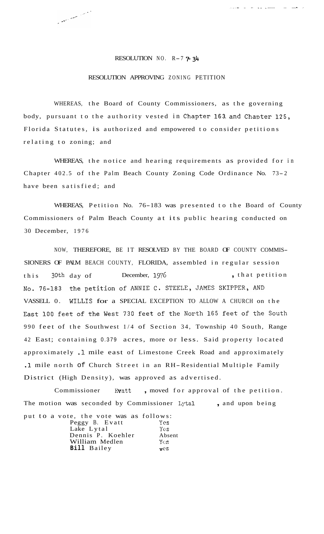## RESOLUTION NO.  $R-7$   $\overline{7}$   $34$

Contract on the Company of the Company of the Company of the Company of the Company of the Company of the Company of the Company of the Company of the Company of the Company of the Company of the Company of the Company of

**\_.\_,.I** . .. .. .\_ \_\_ ..... ... .... - .-

## RESOLUTION APPROVING ZONING PETITION

WHEREAS, the Board of County Commissioners, as the governing body, pursuant to the authority vested in Chapter 163, and Chapter 125, Florida Statutes, is authorized and empowered to consider petitions relating to zoning; and

WHEREAS, the notice and hearing requirements as provided for in Chapter 402.5 of the Palm Beach County Zoning Code Ordinance No. 73- <sup>2</sup> have been satisfied; and

WHEREAS, Petition No. 76-183 was presented to the Board of County Commissioners of Palm Beach County at its public hearing conducted on 30 December, 1976

NOW, THEREFORE, BE IT RESOLVED BY THE BOARD OF COUNTY COMMIS-SIONERS OF PALM BEACH COUNTY, FLORIDA, assembled in regular session this 30th day of December, 1976 **... In the Solution**, that petition No. 76-183 the petition of ANNIE C. STEELE, JAMES SKIPPER, AND VASSELL 0. WILLIS for a SPECIAL EXCEPTION TO ALLOW A CHURCH on the East 100 feet of the West 730 feet of the North 165 feet of the South 990 feet of the Southwest 1/4 of Section 34, Township 40 South, Range 42 East; containing 0.379 acres, more or less. Said property located approximately .1 mile east of Limestone Creek Road and approximately **.1** mile north of Church Street in an RH-Residential Multiple Family District (High Density), was approved as advertised.

Commissioner Evatt, moved for approval of the petition. The motion was seconded by Commissioner Lytal , and upon being put to a vote, the vote was as follows:

| Peggy B. Evatt     | Yes    |
|--------------------|--------|
| Lake Lytal         | Yes    |
| Dennis P. Koehler  | Absent |
| William Medlen     | Yes    |
| <b>Bill</b> Bailey | vcS    |
|                    |        |